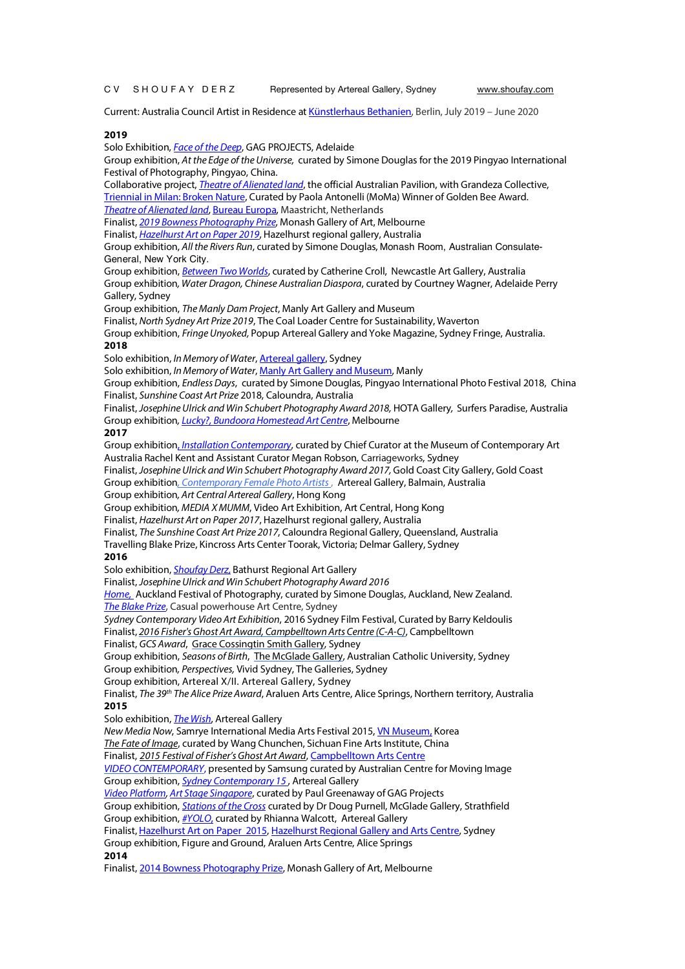CV SHOUFAY DERZ Represented by Artereal Gallery, Sydney www.shoufay.com

Current: Australia Council Artist in Residence at Künstlerhaus Bethanien, Berlin, July 2019 – June 2020

#### **2019**

Solo Exhibition, *Face of the Deep*, GAG PROJECTS, Adelaide

Group exhibition, *At the Edge of the Universe,* curated by Simone Douglas for the 2019 Pingyao International Festival of Photography, Pingyao, China.

Collaborative project, *Theatre of Alienated land*, the official Australian Pavilion, with Grandeza Collective, Triennial in Milan: Broken Nature, Curated by Paola Antonelli (MoMa) Winner of Golden Bee Award. *Theatre of Alienated land*, Bureau Europa, Maastricht, Netherlands

Finalist, *2019 Bowness Photography Prize*, Monash Gallery of Art, Melbourne

Finalist, *Hazelhurst Art on Paper 2019*, Hazelhurst regional gallery, Australia

Group exhibition, *All the Rivers Run*, curated by Simone Douglas, Monash Room, Australian Consulate-General, New York City.

Group exhibition, *Between Two Worlds*, curated by Catherine Croll, Newcastle Art Gallery, Australia Group exhibition*, Water Dragon, Chinese Australian Diaspora*, curated by Courtney Wagner, Adelaide Perry Gallery, Sydney

Group exhibition, *The Manly Dam Project*, Manly Art Gallery and Museum

Finalist, *North Sydney Art Prize 2019*, The Coal Loader Centre for Sustainability, Waverton

Group exhibition, *Fringe Unyoked,* Popup Artereal Gallery and Yoke Magazine, Sydney Fringe, Australia. **2018**

Solo exhibition, *In Memory of Water*, Artereal gallery, Sydney

Solo exhibition, *In Memory of Water*, Manly Art Gallery and Museum, Manly

Group exhibition, *Endless Days*, curated by Simone Douglas, Pingyao International Photo Festival 2018, China Finalist, *Sunshine Coast Art Prize* 2018, Caloundra, Australia

Finalist, *Josephine Ulrick and Win Schubert Photography Award 2018,* HOTA Gallery*,* Surfers Paradise, Australia Group exhibition*, Lucky?, Bundoora Homestead Art Centre*, Melbourne

**2017** 

Group exhibition, *Installation Contemporary*, curated by Chief Curator at the Museum of Contemporary Art Australia Rachel Kent and Assistant Curator Megan Robson, Carriageworks, Sydney

Finalist, Josephine Ulrick and Win Schubert Photography Award 2017, Gold Coast City Gallery, Gold Coast Group exhibition*, Contemporary Female Photo Artists* , Artereal Gallery, Balmain, Australia

Group exhibition*, Art Central Artereal Gallery*, Hong Kong

Group exhibition*, MEDIA X MUMM*, Video Art Exhibition, Art Central, Hong Kong

Finalist, *Hazelhurst Art on Paper 2017*, Hazelhurst regional gallery, Australia

Finalist, *The Sunshine Coast Art Prize 2017*, Caloundra Regional Gallery, Queensland, Australia

Travelling Blake Prize, Kincross Arts Center Toorak, Victoria; Delmar Gallery, Sydney

### **2016**

Solo exhibition, *Shoufay Derz,* Bathurst Regional Art Gallery

Finalist, *Josephine Ulrick and Win Schubert Photography Award 2016*

*Home,* Auckland Festival of Photography, curated by Simone Douglas, Auckland, New Zealand. *The Blake Prize*, Casual powerhouse Art Centre, Sydney

*Sydney Contemporary Video Art Exhibition*, 2016 Sydney Film Festival, Curated by Barry Keldoulis

Finalist, *2016 Fisher's Ghost Art Award, Campbelltown Arts Centre (C-A-C)*, Campbelltown

Finalist, *GCS Award*, Grace Cossingtin Smith Gallery, Sydney

Group exhibition, *Seasons of Birth*, The McGlade Gallery, Australian Catholic University, Sydney Group exhibition*, Perspectives,* Vivid Sydney, The Galleries, Sydney

Group exhibition, Artereal X/II. Artereal Gallery, Sydney

Finalist, *The 39th The Alice Prize Award*, Araluen Arts Centre, Alice Springs, Northern territory, Australia **2015** 

Solo exhibition, *The Wish*, Artereal Gallery

*New Media Now*, Samrye International Media Arts Festival 2015, VN Museum, Korea

*The Fate of Image*, curated by Wang Chunchen, Sichuan Fine Arts Institute, China

Finalist, *2015 Festival of Fisher's Ghost Art Award*, Campbelltown Arts Centre

*VIDEO CONTEMPORARY*, presented by Samsung curated by Australian Centre for Moving Image Group exhibition, *Sydney Contemporary 15* , Artereal Gallery

*Video Platform, Art Stage Singapore*, curated by Paul Greenaway of GAG Projects Group exhibition, *Stations of the Cross* curated by Dr Doug Purnell, McGlade Gallery, Strathfield Group exhibition, *#YOLO*, curated by Rhianna Walcott, Artereal Gallery

Finalist,Hazelhurst Art on Paper 2015, Hazelhurst Regional Gallery and Arts Centre, Sydney Group exhibition, Figure and Ground, Araluen Arts Centre, Alice Springs

**2014** 

Finalist, 2014 Bowness Photography Prize, Monash Gallery of Art, Melbourne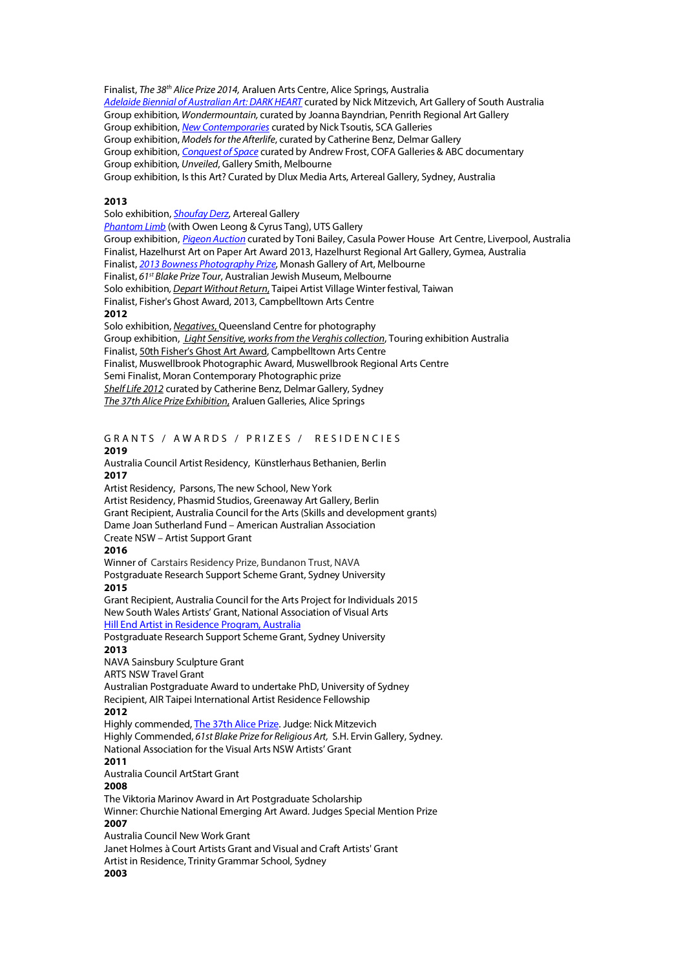Finalist, *The 38th Alice Prize 2014,* Araluen Arts Centre, Alice Springs, Australia *Adelaide Biennial of Australian Art: DARK HEART* curated by Nick Mitzevich, Art Gallery of South Australia Group exhibition*, Wondermountain,* curated by Joanna Bayndrian, Penrith Regional Art Gallery Group exhibition, *New Contemporaries* curated by Nick Tsoutis, SCA Galleries Group exhibition, *Models for the Afterlife*, curated by Catherine Benz, Delmar Gallery Group exhibition, *Conquest of Space* curated by Andrew Frost, COFA Galleries & ABC documentary Group exhibition*, Unveiled*, Gallery Smith, Melbourne Group exhibition, Is this Art? Curated by Dlux Media Arts, Artereal Gallery, Sydney, Australia

#### **2013**

Solo exhibition, *Shoufay Derz*, Artereal Gallery *Phantom Limb* (with Owen Leong & Cyrus Tang), UTS Gallery Group exhibition, *Pigeon Auction* curated by Toni Bailey, Casula Power House Art Centre, Liverpool, Australia Finalist, Hazelhurst Art on Paper Art Award 2013, Hazelhurst Regional Art Gallery, Gymea, Australia Finalist, *2013 Bowness Photography Prize*, Monash Gallery of Art, Melbourne Finalist, *61st Blake Prize Tour*, Australian Jewish Museum, Melbourne Solo exhibition*, Depart Without Return*, Taipei Artist Village Winter festival, Taiwan Finalist, Fisher's Ghost Award, 2013, Campbelltown Arts Centre **2012**  Solo exhibition, *Negatives*, Queensland Centre for photography Group exhibition, *Light Sensitive, works from the Verghis collection*, Touring exhibition Australia Finalist, 50th Fisher's Ghost Art Award, Campbelltown Arts Centre

Finalist, Muswellbrook Photographic Award, Muswellbrook Regional Arts Centre Semi Finalist, Moran Contemporary Photographic prize *Shelf Life 2012* curated by Catherine Benz, Delmar Gallery, Sydney

*The 37th Alice Prize Exhibition*, Araluen Galleries, Alice Springs

# GRANTS / AWARDS / PRIZES / RESIDENCIES

## **2019**

Australia Council Artist Residency, Künstlerhaus Bethanien, Berlin **2017**  Artist Residency, Parsons, The new School, New York Artist Residency, Phasmid Studios, Greenaway Art Gallery, Berlin Grant Recipient, Australia Council for the Arts (Skills and development grants) Dame Joan Sutherland Fund – American Australian Association Create NSW – Artist Support Grant **2016** Winner of Carstairs Residency Prize, Bundanon Trust, NAVA Postgraduate Research Support Scheme Grant, Sydney University **2015**  Grant Recipient, Australia Council for the Arts Project for Individuals 2015 New South Wales Artists' Grant, National Association of Visual Arts Hill End Artist in Residence Program, Australia Postgraduate Research Support Scheme Grant, Sydney University **2013**  NAVA Sainsbury Sculpture Grant ARTS NSW Travel Grant Australian Postgraduate Award to undertake PhD, University of Sydney Recipient, AIR Taipei International Artist Residence Fellowship **2012** Highly commended, The 37th Alice Prize. Judge: Nick Mitzevich Highly Commended, *61st Blake Prize for Religious Art,* S.H. Ervin Gallery, Sydney. National Association for the Visual Arts NSW Artists' Grant **2011** Australia Council ArtStart Grant **2008** The Viktoria Marinov Award in Art Postgraduate Scholarship

Winner: Churchie National Emerging Art Award. Judges Special Mention Prize **2007**

Australia Council New Work Grant Janet Holmes à Court Artists Grant and Visual and Craft Artists' Grant Artist in Residence, Trinity Grammar School, Sydney **2003**